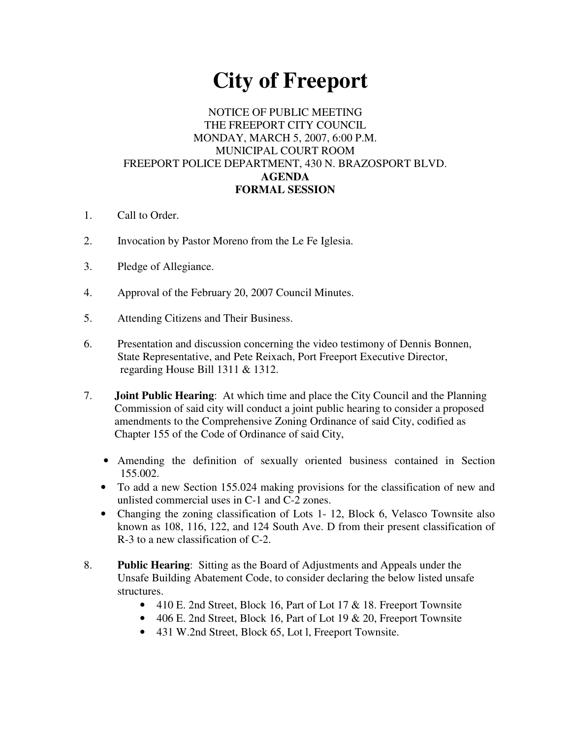# **City of Freeport**

## NOTICE OF PUBLIC MEETING THE FREEPORT CITY COUNCIL MONDAY, MARCH 5, 2007, 6:00 P.M. MUNICIPAL COURT ROOM FREEPORT POLICE DEPARTMENT, 430 N. BRAZOSPORT BLVD. **AGENDA FORMAL SESSION**

- 1. Call to Order.
- 2. Invocation by Pastor Moreno from the Le Fe Iglesia.
- 3. Pledge of Allegiance.
- 4. Approval of the February 20, 2007 Council Minutes.
- 5. Attending Citizens and Their Business.
- 6. Presentation and discussion concerning the video testimony of Dennis Bonnen, State Representative, and Pete Reixach, Port Freeport Executive Director, regarding House Bill 1311 & 1312.
- 7. **Joint Public Hearing**: At which time and place the City Council and the Planning Commission of said city will conduct a joint public hearing to consider a proposed amendments to the Comprehensive Zoning Ordinance of said City, codified as Chapter 155 of the Code of Ordinance of said City,
	- Amending the definition of sexually oriented business contained in Section 155.002.
	- To add a new Section 155.024 making provisions for the classification of new and unlisted commercial uses in C-1 and C-2 zones.
	- Changing the zoning classification of Lots 1- 12, Block 6, Velasco Townsite also known as 108, 116, 122, and 124 South Ave. D from their present classification of R-3 to a new classification of C-2.
- 8. **Public Hearing**: Sitting as the Board of Adjustments and Appeals under the Unsafe Building Abatement Code, to consider declaring the below listed unsafe structures.
	- 410 E. 2nd Street, Block 16, Part of Lot 17 & 18. Freeport Townsite
	- 406 E. 2nd Street, Block 16, Part of Lot 19 & 20, Freeport Townsite
	- 431 W.2nd Street, Block 65, Lot l, Freeport Townsite.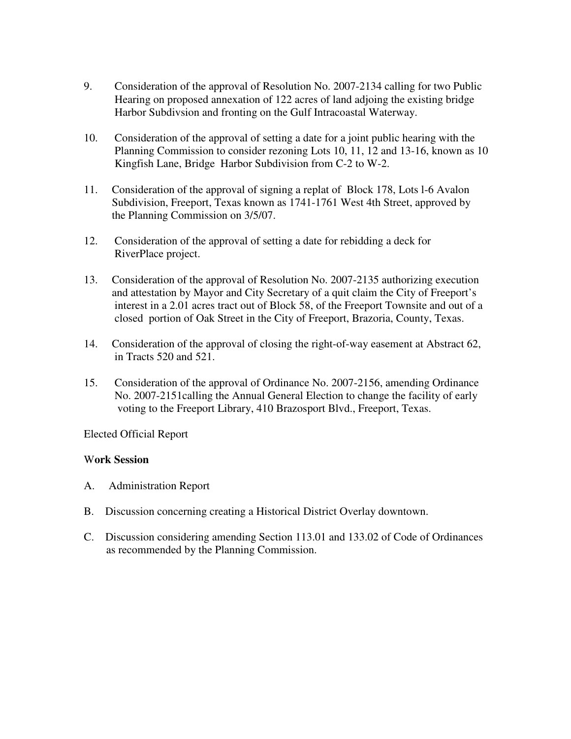- 9. Consideration of the approval of Resolution No. 2007-2134 calling for two Public Hearing on proposed annexation of 122 acres of land adjoing the existing bridge Harbor Subdivsion and fronting on the Gulf Intracoastal Waterway.
- 10. Consideration of the approval of setting a date for a joint public hearing with the Planning Commission to consider rezoning Lots 10, 11, 12 and 13-16, known as 10 Kingfish Lane, Bridge Harbor Subdivision from C-2 to W-2.
- 11. Consideration of the approval of signing a replat of Block 178, Lots l-6 Avalon Subdivision, Freeport, Texas known as 1741-1761 West 4th Street, approved by the Planning Commission on 3/5/07.
- 12. Consideration of the approval of setting a date for rebidding a deck for RiverPlace project.
- 13. Consideration of the approval of Resolution No. 2007-2135 authorizing execution and attestation by Mayor and City Secretary of a quit claim the City of Freeport's interest in a 2.01 acres tract out of Block 58, of the Freeport Townsite and out of a closed portion of Oak Street in the City of Freeport, Brazoria, County, Texas.
- 14. Consideration of the approval of closing the right-of-way easement at Abstract 62, in Tracts 520 and 521.
- 15. Consideration of the approval of Ordinance No. 2007-2156, amending Ordinance No. 2007-2151calling the Annual General Election to change the facility of early voting to the Freeport Library, 410 Brazosport Blvd., Freeport, Texas.

Elected Official Report

### W**ork Session**

- A. Administration Report
- B. Discussion concerning creating a Historical District Overlay downtown.
- C. Discussion considering amending Section 113.01 and 133.02 of Code of Ordinances as recommended by the Planning Commission.